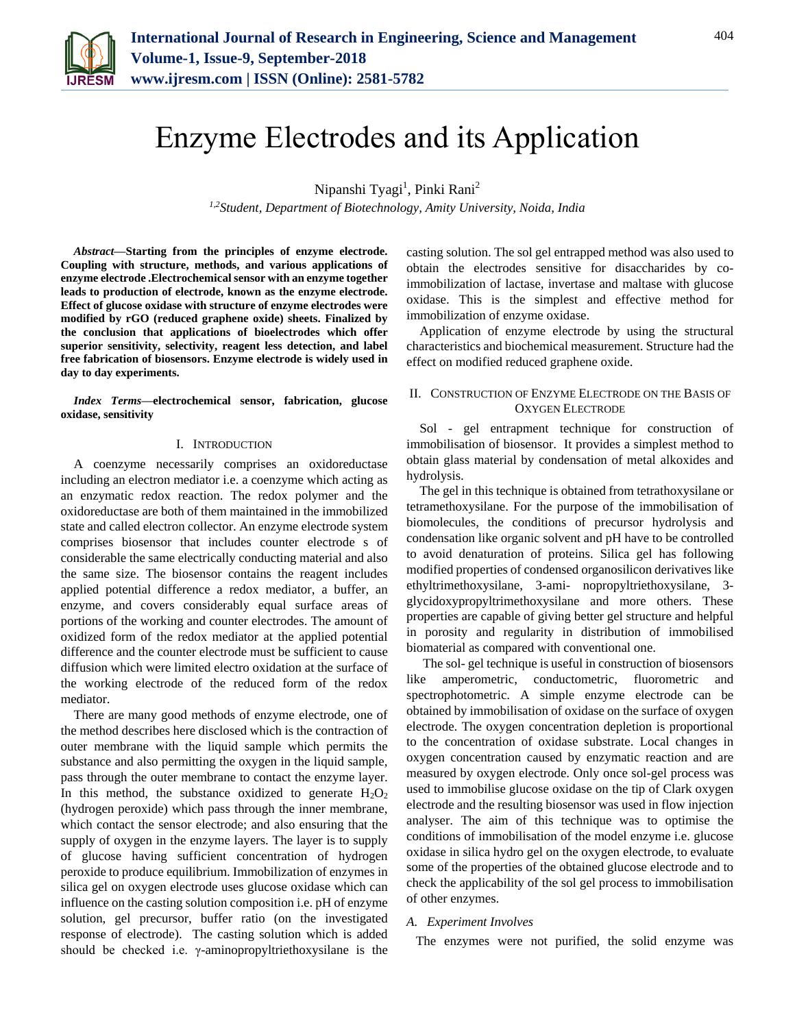

# Enzyme Electrodes and its Application

Nipanshi Tyagi<sup>1</sup>, Pinki Rani<sup>2</sup>

*1,2Student, Department of Biotechnology, Amity University, Noida, India*

*Abstract***—Starting from the principles of enzyme electrode. Coupling with structure, methods, and various applications of enzyme electrode .Electrochemical sensor with an enzyme together leads to production of electrode, known as the enzyme electrode. Effect of glucose oxidase with structure of enzyme electrodes were modified by rGO (reduced graphene oxide) sheets. Finalized by the conclusion that applications of bioelectrodes which offer superior sensitivity, selectivity, reagent less detection, and label free fabrication of biosensors. Enzyme electrode is widely used in day to day experiments.**

*Index Terms***—electrochemical sensor, fabrication, glucose oxidase, sensitivity**

#### I. INTRODUCTION

A coenzyme necessarily comprises an oxidoreductase including an electron mediator i.e. a coenzyme which acting as an enzymatic redox reaction. The redox polymer and the oxidoreductase are both of them maintained in the immobilized state and called electron collector. An enzyme electrode system comprises biosensor that includes counter electrode s of considerable the same electrically conducting material and also the same size. The biosensor contains the reagent includes applied potential difference a redox mediator, a buffer, an enzyme, and covers considerably equal surface areas of portions of the working and counter electrodes. The amount of oxidized form of the redox mediator at the applied potential difference and the counter electrode must be sufficient to cause diffusion which were limited electro oxidation at the surface of the working electrode of the reduced form of the redox mediator.

There are many good methods of enzyme electrode, one of the method describes here disclosed which is the contraction of outer membrane with the liquid sample which permits the substance and also permitting the oxygen in the liquid sample, pass through the outer membrane to contact the enzyme layer. In this method, the substance oxidized to generate  $H_2O_2$ (hydrogen peroxide) which pass through the inner membrane, which contact the sensor electrode; and also ensuring that the supply of oxygen in the enzyme layers. The layer is to supply of glucose having sufficient concentration of hydrogen peroxide to produce equilibrium. Immobilization of enzymes in silica gel on oxygen electrode uses glucose oxidase which can influence on the casting solution composition i.e. pH of enzyme solution, gel precursor, buffer ratio (on the investigated response of electrode). The casting solution which is added should be checked i.e. γ-aminopropyltriethoxysilane is the

casting solution. The sol gel entrapped method was also used to obtain the electrodes sensitive for disaccharides by coimmobilization of lactase, invertase and maltase with glucose oxidase. This is the simplest and effective method for immobilization of enzyme oxidase.

Application of enzyme electrode by using the structural characteristics and biochemical measurement. Structure had the effect on modified reduced graphene oxide.

## II. CONSTRUCTION OF ENZYME ELECTRODE ON THE BASIS OF OXYGEN ELECTRODE

Sol - gel entrapment technique for construction of immobilisation of biosensor. It provides a simplest method to obtain glass material by condensation of metal alkoxides and hydrolysis.

The gel in this technique is obtained from tetrathoxysilane or tetramethoxysilane. For the purpose of the immobilisation of biomolecules, the conditions of precursor hydrolysis and condensation like organic solvent and pH have to be controlled to avoid denaturation of proteins. Silica gel has following modified properties of condensed organosilicon derivatives like ethyltrimethoxysilane, 3-ami- nopropyltriethoxysilane, 3 glycidoxypropyltrimethoxysilane and more others. These properties are capable of giving better gel structure and helpful in porosity and regularity in distribution of immobilised biomaterial as compared with conventional one.

The sol- gel technique is useful in construction of biosensors like amperometric, conductometric, fluorometric and spectrophotometric. A simple enzyme electrode can be obtained by immobilisation of oxidase on the surface of oxygen electrode. The oxygen concentration depletion is proportional to the concentration of oxidase substrate. Local changes in oxygen concentration caused by enzymatic reaction and are measured by oxygen electrode. Only once sol-gel process was used to immobilise glucose oxidase on the tip of Clark oxygen electrode and the resulting biosensor was used in flow injection analyser. The aim of this technique was to optimise the conditions of immobilisation of the model enzyme i.e. glucose oxidase in silica hydro gel on the oxygen electrode, to evaluate some of the properties of the obtained glucose electrode and to check the applicability of the sol gel process to immobilisation of other enzymes.

#### *A. Experiment Involves*

The enzymes were not purified, the solid enzyme was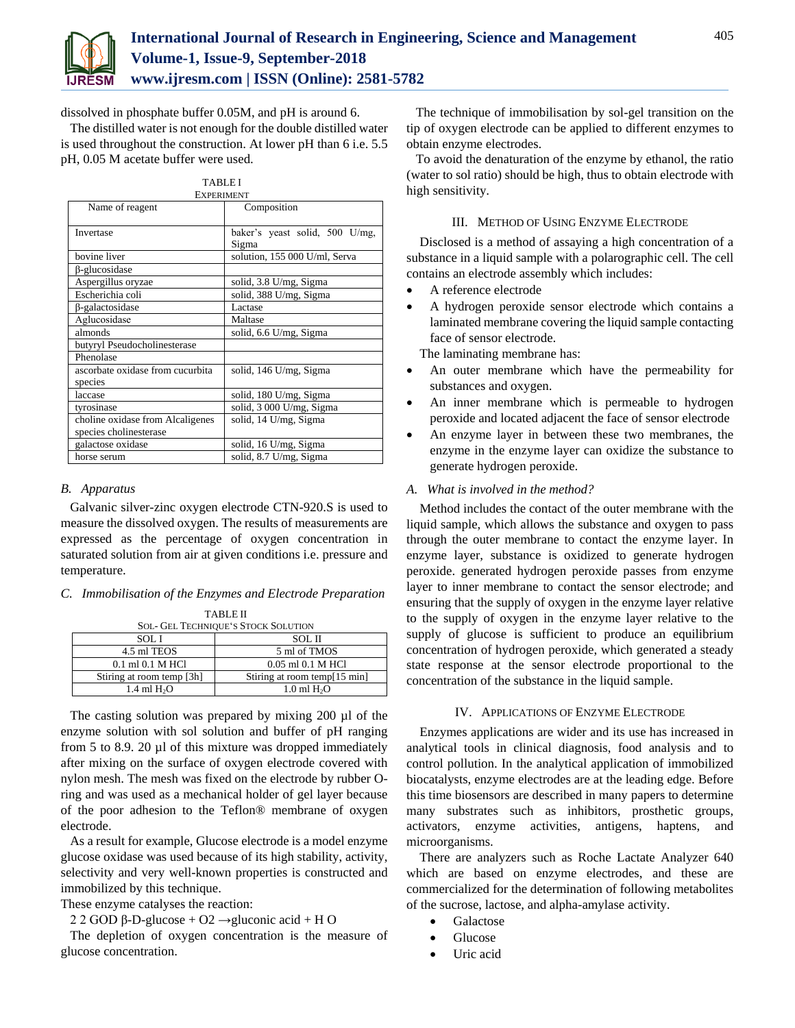

dissolved in phosphate buffer 0.05M, and pH is around 6.

The distilled water is not enough for the double distilled water is used throughout the construction. At lower pH than 6 i.e. 5.5 pH, 0.05 M acetate buffer were used.

| <b>TABLEI</b>                    |                                |
|----------------------------------|--------------------------------|
| <b>EXPERIMENT</b>                |                                |
| Name of reagent                  | Composition                    |
|                                  |                                |
| Invertase                        | baker's yeast solid, 500 U/mg, |
|                                  | Sigma                          |
| bovine liver                     | solution, 155 000 U/ml, Serva  |
| β-glucosidase                    |                                |
| Aspergillus oryzae               | solid, 3.8 U/mg, Sigma         |
| Escherichia coli                 | solid, 388 U/mg, Sigma         |
| $\beta$ -galactosidase           | Lactase                        |
| Aglucosidase                     | Maltase                        |
| almonds                          | solid, 6.6 U/mg, Sigma         |
| butyryl Pseudocholinesterase     |                                |
| Phenolase                        |                                |
| ascorbate oxidase from cucurbita | solid, 146 U/mg, Sigma         |
| species                          |                                |
| laccase                          | solid, 180 U/mg, Sigma         |
| tyrosinase                       | solid, 3 000 U/mg, Sigma       |
| choline oxidase from Alcaligenes | solid, 14 U/mg, Sigma          |
| species cholinesterase           |                                |
| galactose oxidase                | solid, 16 U/mg, Sigma          |
| horse serum                      | solid, 8.7 U/mg, Sigma         |

## *B. Apparatus*

Galvanic silver-zinc oxygen electrode CTN-920.S is used to measure the dissolved oxygen. The results of measurements are expressed as the percentage of oxygen concentration in saturated solution from air at given conditions i.e. pressure and temperature.

#### *C. Immobilisation of the Enzymes and Electrode Preparation*

TABLE II SOL- GEL TECHNIQUE'S STOCK SOLUTION SOL I SOL II 4.5 ml TEOS 5 ml of TMOS 0.1 ml 0.1 M HCl 0.05 ml 0.1 M HCl

Stiring at room temp [3h] Stiring at room temp [15 min]

The casting solution was prepared by mixing 200 µl of the enzyme solution with sol solution and buffer of pH ranging from 5 to 8.9. 20 µl of this mixture was dropped immediately after mixing on the surface of oxygen electrode covered with nylon mesh. The mesh was fixed on the electrode by rubber Oring and was used as a mechanical holder of gel layer because of the poor adhesion to the Teflon® membrane of oxygen electrode. 1.4 ml  $H_2O$  1.0 ml  $H_2O$ 

As a result for example, Glucose electrode is a model enzyme glucose oxidase was used because of its high stability, activity, selectivity and very well-known properties is constructed and immobilized by this technique.

These enzyme catalyses the reaction:

2 2 GOD β-D-glucose + O2  $\rightarrow$ gluconic acid + H O

The depletion of oxygen concentration is the measure of glucose concentration.

The technique of immobilisation by sol-gel transition on the tip of oxygen electrode can be applied to different enzymes to obtain enzyme electrodes.

To avoid the denaturation of the enzyme by ethanol, the ratio (water to sol ratio) should be high, thus to obtain electrode with high sensitivity.

#### III. METHOD OF USING ENZYME ELECTRODE

Disclosed is a method of assaying a high concentration of a substance in a liquid sample with a polarographic cell. The cell contains an electrode assembly which includes:

- A reference electrode
- A hydrogen peroxide sensor electrode which contains a laminated membrane covering the liquid sample contacting face of sensor electrode.

The laminating membrane has:

- An outer membrane which have the permeability for substances and oxygen.
- An inner membrane which is permeable to hydrogen peroxide and located adjacent the face of sensor electrode
- An enzyme layer in between these two membranes, the enzyme in the enzyme layer can oxidize the substance to generate hydrogen peroxide.

#### *A. What is involved in the method?*

Method includes the contact of the outer membrane with the liquid sample, which allows the substance and oxygen to pass through the outer membrane to contact the enzyme layer. In enzyme layer, substance is oxidized to generate hydrogen peroxide. generated hydrogen peroxide passes from enzyme layer to inner membrane to contact the sensor electrode; and ensuring that the supply of oxygen in the enzyme layer relative to the supply of oxygen in the enzyme layer relative to the supply of glucose is sufficient to produce an equilibrium concentration of hydrogen peroxide, which generated a steady state response at the sensor electrode proportional to the concentration of the substance in the liquid sample.

#### IV. APPLICATIONS OF ENZYME ELECTRODE

Enzymes applications are wider and its use has increased in analytical tools in clinical diagnosis, food analysis and to control pollution. In the analytical application of immobilized biocatalysts, enzyme electrodes are at the leading edge. Before this time biosensors are described in many papers to determine many substrates such as inhibitors, prosthetic groups, activators, enzyme activities, antigens, haptens, and microorganisms.

There are analyzers such as Roche Lactate Analyzer 640 which are based on enzyme electrodes, and these are commercialized for the determination of following metabolites of the sucrose, lactose, and alpha-amylase activity.

- Galactose
- Glucose
- Uric acid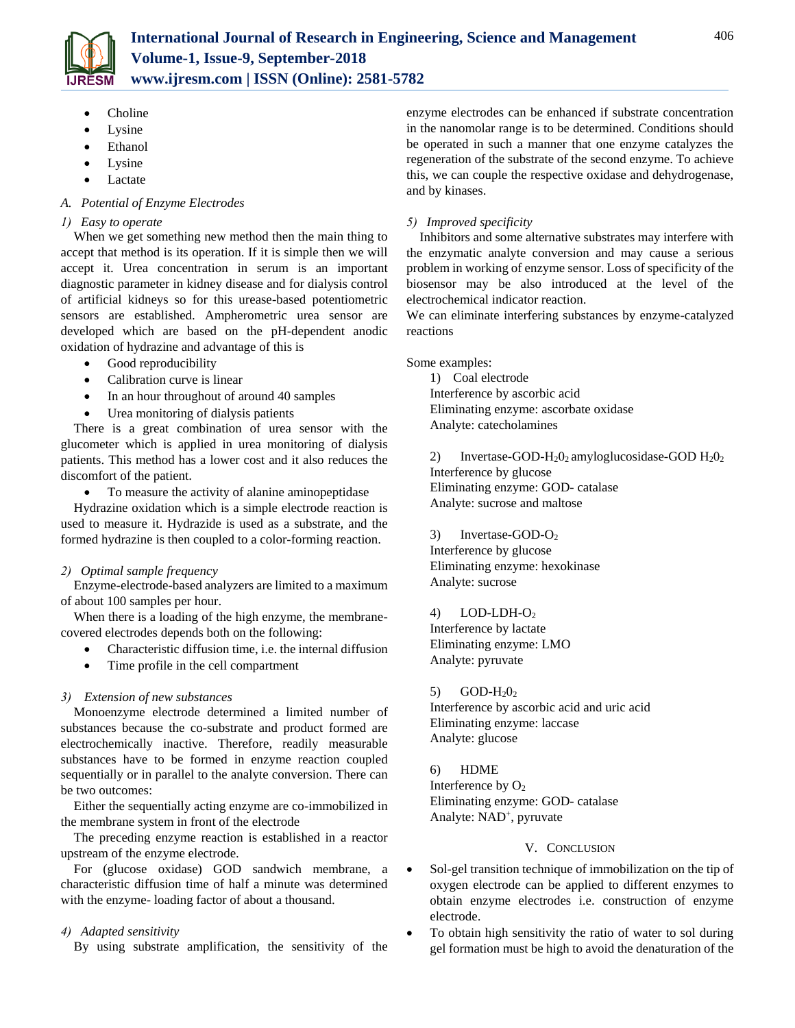

- Choline
- Lysine
- Ethanol
- Lysine
- Lactate

# *A. Potential of Enzyme Electrodes*

## *1) Easy to operate*

When we get something new method then the main thing to accept that method is its operation. If it is simple then we will accept it. Urea concentration in serum is an important diagnostic parameter in kidney disease and for dialysis control of artificial kidneys so for this urease-based potentiometric sensors are established. Ampherometric urea sensor are developed which are based on the pH-dependent anodic oxidation of hydrazine and advantage of this is

- Good reproducibility
- Calibration curve is linear
- In an hour throughout of around 40 samples
- Urea monitoring of dialysis patients

There is a great combination of urea sensor with the glucometer which is applied in urea monitoring of dialysis patients. This method has a lower cost and it also reduces the discomfort of the patient.

To measure the activity of alanine aminopeptidase

Hydrazine oxidation which is a simple electrode reaction is used to measure it. Hydrazide is used as a substrate, and the formed hydrazine is then coupled to a color-forming reaction.

# *2) Optimal sample frequency*

Enzyme-electrode-based analyzers are limited to a maximum of about 100 samples per hour.

When there is a loading of the high enzyme, the membranecovered electrodes depends both on the following:

- Characteristic diffusion time, i.e. the internal diffusion
- Time profile in the cell compartment

# *3) Extension of new substances*

Monoenzyme electrode determined a limited number of substances because the co-substrate and product formed are electrochemically inactive. Therefore, readily measurable substances have to be formed in enzyme reaction coupled sequentially or in parallel to the analyte conversion. There can be two outcomes:

Either the sequentially acting enzyme are co-immobilized in the membrane system in front of the electrode

The preceding enzyme reaction is established in a reactor upstream of the enzyme electrode.

For (glucose oxidase) GOD sandwich membrane, a characteristic diffusion time of half a minute was determined with the enzyme- loading factor of about a thousand.

# *4) Adapted sensitivity*

By using substrate amplification, the sensitivity of the

enzyme electrodes can be enhanced if substrate concentration in the nanomolar range is to be determined. Conditions should be operated in such a manner that one enzyme catalyzes the regeneration of the substrate of the second enzyme. To achieve this, we can couple the respective oxidase and dehydrogenase, and by kinases.

# *5) Improved specificity*

Inhibitors and some alternative substrates may interfere with the enzymatic analyte conversion and may cause a serious problem in working of enzyme sensor. Loss of specificity of the biosensor may be also introduced at the level of the electrochemical indicator reaction.

We can eliminate interfering substances by enzyme-catalyzed reactions

Some examples:

1) Coal electrode Interference by ascorbic acid Eliminating enzyme: ascorbate oxidase Analyte: catecholamines

2) Invertase-GOD- $H_2O_2$  amyloglucosidase-GOD  $H_2O_2$ Interference by glucose Eliminating enzyme: GOD- catalase Analyte: sucrose and maltose

3) Invertase-GOD-O<sup>2</sup> Interference by glucose Eliminating enzyme: hexokinase Analyte: sucrose

4) LOD-LDH-O<sup>2</sup> Interference by lactate Eliminating enzyme: LMO Analyte: pyruvate

5)  $GOD-H<sub>2</sub>O<sub>2</sub>$ Interference by ascorbic acid and uric acid Eliminating enzyme: laccase Analyte: glucose

6) HDME Interference by  $O_2$ Eliminating enzyme: GOD- catalase Analyte: NAD<sup>+</sup>, pyruvate

# V. CONCLUSION

- Sol-gel transition technique of immobilization on the tip of oxygen electrode can be applied to different enzymes to obtain enzyme electrodes i.e. construction of enzyme electrode.
- To obtain high sensitivity the ratio of water to sol during gel formation must be high to avoid the denaturation of the